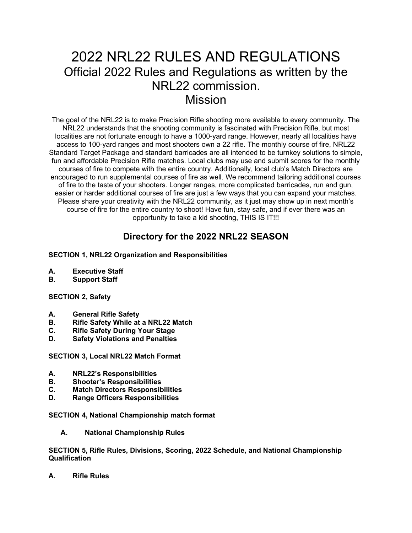# 2022 NRL22 RULES AND REGULATIONS Official 2022 Rules and Regulations as written by the NRL22 commission. Mission

The goal of the NRL22 is to make Precision Rifle shooting more available to every community. The NRL22 understands that the shooting community is fascinated with Precision Rifle, but most localities are not fortunate enough to have a 1000-yard range. However, nearly all localities have access to 100-yard ranges and most shooters own a 22 rifle. The monthly course of fire, NRL22 Standard Target Package and standard barricades are all intended to be turnkey solutions to simple, fun and affordable Precision Rifle matches. Local clubs may use and submit scores for the monthly courses of fire to compete with the entire country. Additionally, local club's Match Directors are encouraged to run supplemental courses of fire as well. We recommend tailoring additional courses of fire to the taste of your shooters. Longer ranges, more complicated barricades, run and gun, easier or harder additional courses of fire are just a few ways that you can expand your matches. Please share your creativity with the NRL22 community, as it just may show up in next month's course of fire for the entire country to shoot! Have fun, stay safe, and if ever there was an opportunity to take a kid shooting, THIS IS IT!!!

# **Directory for the 2022 NRL22 SEASON**

### **SECTION 1, NRL22 Organization and Responsibilities**

- **A. Executive Staff**
- **B. Support Staff**

### **SECTION 2, Safety**

- **A. General Rifle Safety**
- **B. Rifle Safety While at a NRL22 Match**
- **C. Rifle Safety During Your Stage**
- **D. Safety Violations and Penalties**

**SECTION 3, Local NRL22 Match Format**

- **A. NRL22's Responsibilities**
- **B. Shooter's Responsibilities**
- **C. Match Directors Responsibilities**
- **D. Range Officers Responsibilities**

**SECTION 4, National Championship match format**

**A. National Championship Rules**

**SECTION 5, Rifle Rules, Divisions, Scoring, 2022 Schedule, and National Championship Qualification**

**A. Rifle Rules**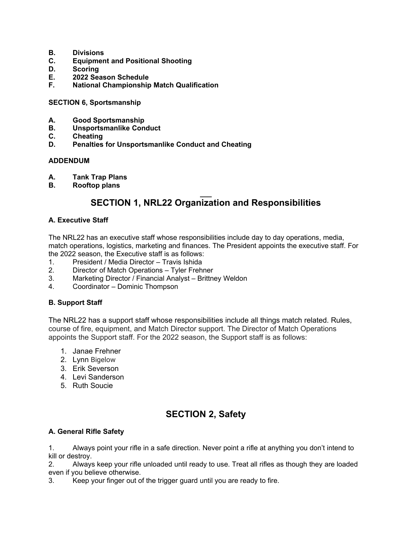- **B. Divisions**
- **C. Equipment and Positional Shooting**
- **D. Scoring**
- **E. 2022 Season Schedule**
- **F. National Championship Match Qualification**

**SECTION 6, Sportsmanship**

- **A. Good Sportsmanship**
- **B. Unsportsmanlike Conduct**
- **C. Cheating**
- **D. Penalties for Unsportsmanlike Conduct and Cheating**

#### **ADDENDUM**

- **A. Tank Trap Plans**
- **B. Rooftop plans**

### **\_\_\_ SECTION 1, NRL22 Organization and Responsibilities**

#### **A. Executive Staff**

The NRL22 has an executive staff whose responsibilities include day to day operations, media, match operations, logistics, marketing and finances. The President appoints the executive staff. For the 2022 season, the Executive staff is as follows:

- 1. President / Media Director Travis Ishida
- 2. Director of Match Operations Tyler Frehner
- 3. Marketing Director / Financial Analyst Brittney Weldon
- 4. Coordinator Dominic Thompson

### **B. Support Staff**

The NRL22 has a support staff whose responsibilities include all things match related. Rules, course of fire, equipment, and Match Director support. The Director of Match Operations appoints the Support staff. For the 2022 season, the Support staff is as follows:

- 1. Janae Frehner
- 2. Lynn Bigelow
- 3. Erik Severson
- 4. Levi Sanderson
- 5. Ruth Soucie

# **SECTION 2, Safety**

### **A. General Rifle Safety**

1. Always point your rifle in a safe direction. Never point a rifle at anything you don't intend to kill or destroy.

2. Always keep your rifle unloaded until ready to use. Treat all rifles as though they are loaded even if you believe otherwise.

3. Keep your finger out of the trigger guard until you are ready to fire.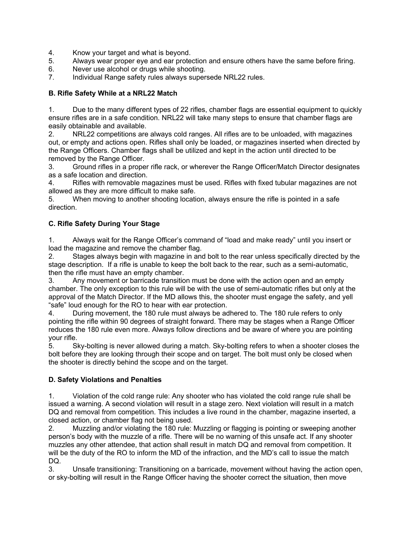- 4. Know your target and what is beyond.
- 5. Always wear proper eye and ear protection and ensure others have the same before firing.
- 6. Never use alcohol or drugs while shooting.
- 7. Individual Range safety rules always supersede NRL22 rules.

#### **B. Rifle Safety While at a NRL22 Match**

1. Due to the many different types of 22 rifles, chamber flags are essential equipment to quickly ensure rifles are in a safe condition. NRL22 will take many steps to ensure that chamber flags are easily obtainable and available.

2. NRL22 competitions are always cold ranges. All rifles are to be unloaded, with magazines out, or empty and actions open. Rifles shall only be loaded, or magazines inserted when directed by the Range Officers. Chamber flags shall be utilized and kept in the action until directed to be removed by the Range Officer.

3. Ground rifles in a proper rifle rack, or wherever the Range Officer/Match Director designates as a safe location and direction.

4. Rifles with removable magazines must be used. Rifles with fixed tubular magazines are not allowed as they are more difficult to make safe.

5. When moving to another shooting location, always ensure the rifle is pointed in a safe direction.

### **C. Rifle Safety During Your Stage**

1. Always wait for the Range Officer's command of "load and make ready" until you insert or load the magazine and remove the chamber flag.

2. Stages always begin with magazine in and bolt to the rear unless specifically directed by the stage description. If a rifle is unable to keep the bolt back to the rear, such as a semi-automatic, then the rifle must have an empty chamber.

3. Any movement or barricade transition must be done with the action open and an empty chamber. The only exception to this rule will be with the use of semi-automatic rifles but only at the approval of the Match Director. If the MD allows this, the shooter must engage the safety, and yell "safe" loud enough for the RO to hear with ear protection.

4. During movement, the 180 rule must always be adhered to. The 180 rule refers to only pointing the rifle within 90 degrees of straight forward. There may be stages when a Range Officer reduces the 180 rule even more. Always follow directions and be aware of where you are pointing your rifle.

5. Sky-bolting is never allowed during a match. Sky-bolting refers to when a shooter closes the bolt before they are looking through their scope and on target. The bolt must only be closed when the shooter is directly behind the scope and on the target.

### **D. Safety Violations and Penalties**

1. Violation of the cold range rule: Any shooter who has violated the cold range rule shall be issued a warning. A second violation will result in a stage zero. Next violation will result in a match DQ and removal from competition. This includes a live round in the chamber, magazine inserted, a closed action, or chamber flag not being used.

2. Muzzling and/or violating the 180 rule: Muzzling or flagging is pointing or sweeping another person's body with the muzzle of a rifle. There will be no warning of this unsafe act. If any shooter muzzles any other attendee, that action shall result in match DQ and removal from competition. It will be the duty of the RO to inform the MD of the infraction, and the MD's call to issue the match DQ.

3. Unsafe transitioning: Transitioning on a barricade, movement without having the action open, or sky-bolting will result in the Range Officer having the shooter correct the situation, then move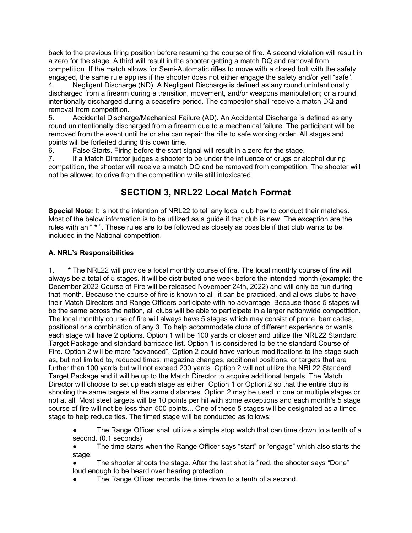back to the previous firing position before resuming the course of fire. A second violation will result in a zero for the stage. A third will result in the shooter getting a match DQ and removal from competition. If the match allows for Semi-Automatic rifles to move with a closed bolt with the safety engaged, the same rule applies if the shooter does not either engage the safety and/or yell "safe".

4. Negligent Discharge (ND). A Negligent Discharge is defined as any round unintentionally discharged from a firearm during a transition, movement, and/or weapons manipulation; or a round intentionally discharged during a ceasefire period. The competitor shall receive a match DQ and removal from competition.

5. Accidental Discharge/Mechanical Failure (AD). An Accidental Discharge is defined as any round unintentionally discharged from a firearm due to a mechanical failure. The participant will be removed from the event until he or she can repair the rifle to safe working order. All stages and points will be forfeited during this down time.

6. False Starts. Firing before the start signal will result in a zero for the stage.

7. If a Match Director judges a shooter to be under the influence of drugs or alcohol during competition, the shooter will receive a match DQ and be removed from competition. The shooter will not be allowed to drive from the competition while still intoxicated.

# **SECTION 3, NRL22 Local Match Format**

**Special Note:** It is not the intention of NRL22 to tell any local club how to conduct their matches. Most of the below information is to be utilized as a guide if that club is new. The exception are the rules with an " **\*** ". These rules are to be followed as closely as possible if that club wants to be included in the National competition.

### **A. NRL's Responsibilities**

1. **\*** The NRL22 will provide a local monthly course of fire. The local monthly course of fire will always be a total of 5 stages. It will be distributed one week before the intended month (example: the December 2022 Course of Fire will be released November 24th, 2022) and will only be run during that month. Because the course of fire is known to all, it can be practiced, and allows clubs to have their Match Directors and Range Officers participate with no advantage. Because those 5 stages will be the same across the nation, all clubs will be able to participate in a larger nationwide competition. The local monthly course of fire will always have 5 stages which may consist of prone, barricades, positional or a combination of any 3. To help accommodate clubs of different experience or wants, each stage will have 2 options. Option 1 will be 100 yards or closer and utilize the NRL22 Standard Target Package and standard barricade list. Option 1 is considered to be the standard Course of Fire. Option 2 will be more "advanced". Option 2 could have various modifications to the stage such as, but not limited to, reduced times, magazine changes, additional positions, or targets that are further than 100 yards but will not exceed 200 yards. Option 2 will not utilize the NRL22 Standard Target Package and it will be up to the Match Director to acquire additional targets. The Match Director will choose to set up each stage as either Option 1 or Option 2 so that the entire club is shooting the same targets at the same distances. Option 2 may be used in one or multiple stages or not at all. Most steel targets will be 10 points per hit with some exceptions and each month's 5 stage course of fire will not be less than 500 points... One of these 5 stages will be designated as a timed stage to help reduce ties. The timed stage will be conducted as follows:

The Range Officer shall utilize a simple stop watch that can time down to a tenth of a second. (0.1 seconds)

The time starts when the Range Officer says "start" or "engage" which also starts the stage.

The shooter shoots the stage. After the last shot is fired, the shooter says "Done" loud enough to be heard over hearing protection.

The Range Officer records the time down to a tenth of a second.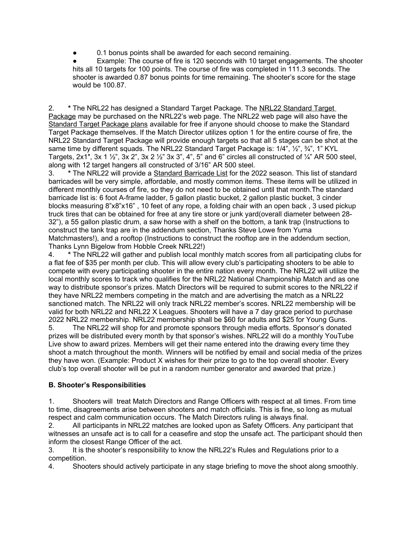0.1 bonus points shall be awarded for each second remaining.

Example: The course of fire is 120 seconds with 10 target engagements. The shooter hits all 10 targets for 100 points. The course of fire was completed in 111.3 seconds. The shooter is awarded 0.87 bonus points for time remaining. The shooter's score for the stage would be 100.87.

2. **\*** The NRL22 has designed a Standard Target Package. The [NRL22 Standard Target](https://nationalrifleleague.org/product/nrl22-rimfire-target-package/)  [Package](https://nationalrifleleague.org/product/nrl22-rimfire-target-package/) may be purchased on the NRL22's web page. The NRL22 web page will also have the [Standard Target Package plans](https://nrl22.org/wp-content/uploads/2018/07/NRL22_Target_Sizes_2018_7.6.18_MM.pdf) available for free if anyone should choose to make the Standard Target Package themselves. If the Match Director utilizes option 1 for the entire course of fire, the NRL22 Standard Target Package will provide enough targets so that all 5 stages can be shot at the same time by different squads. The NRL22 Standard Target Package is: 1/4", 1/2", 3/4", 1" KYL Targets, 2x1", 3x 1  $\frac{1}{2}$ ", 3x 2", 3x 2  $\frac{1}{2}$ " 3x 3", 4", 5" and 6" circles all constructed of  $\frac{1}{4}$ " AR 500 steel, along with 12 target hangers all constructed of 3/16" AR 500 steel.

3. **\*** The NRL22 will provide a [Standard Barricade List](https://nrl22.org/wp-content/uploads/2019/05/NRL22_2018_Standard_Barricade_List_7.6.18_compressed.pdf) for the 2022 season. This list of standard barricades will be very simple, affordable, and mostly common items. These items will be utilized in different monthly courses of fire, so they do not need to be obtained until that month.The standard barricade list is: 6 foot A-frame ladder, 5 gallon plastic bucket, 2 gallon plastic bucket, 3 cinder blocks measuring 8"x8"x16" , 10 feet of any rope, a folding chair with an open back , 3 used pickup truck tires that can be obtained for free at any tire store or junk yard(overall diameter between 28- 32"), a 55 gallon plastic drum, a saw horse with a shelf on the bottom, a tank trap (Instructions to construct the tank trap are in the addendum section, Thanks Steve Lowe from Yuma Matchmasters!), and a rooftop (Instructions to construct the rooftop are in the addendum section, Thanks Lynn Bigelow from Hobble Creek NRL22!)

4. **\*** The NRL22 will gather and publish local monthly match scores from all participating clubs for a flat fee of \$35 per month per club. This will allow every club's participating shooters to be able to compete with every participating shooter in the entire nation every month. The NRL22 will utilize the local monthly scores to track who qualifies for the NRL22 National Championship Match and as one way to distribute sponsor's prizes. Match Directors will be required to submit scores to the NRL22 if they have NRL22 members competing in the match and are advertising the match as a NRL22 sanctioned match. The NRL22 will only track NRL22 member's scores. NRL22 membership will be valid for both NRL22 and NRL22 X Leagues. Shooters will have a 7 day grace period to purchase 2022 NRL22 membership. NRL22 membership shall be \$60 for adults and \$25 for Young Guns.

5. The NRL22 will shop for and promote sponsors through media efforts. Sponsor's donated prizes will be distributed every month by that sponsor's wishes. NRL22 will do a monthly YouTube Live show to award prizes. Members will get their name entered into the drawing every time they shoot a match throughout the month. Winners will be notified by email and social media of the prizes they have won. (Example: Product X wishes for their prize to go to the top overall shooter. Every club's top overall shooter will be put in a random number generator and awarded that prize.)

### **B. Shooter's Responsibilities**

1. Shooters will treat Match Directors and Range Officers with respect at all times. From time to time, disagreements arise between shooters and match officials. This is fine, so long as mutual respect and calm communication occurs. The Match Directors ruling is always final.

2. All participants in NRL22 matches are looked upon as Safety Officers. Any participant that witnesses an unsafe act is to call for a ceasefire and stop the unsafe act. The participant should then inform the closest Range Officer of the act.

3. It is the shooter's responsibility to know the NRL22's Rules and Regulations prior to a competition.

4. Shooters should actively participate in any stage briefing to move the shoot along smoothly.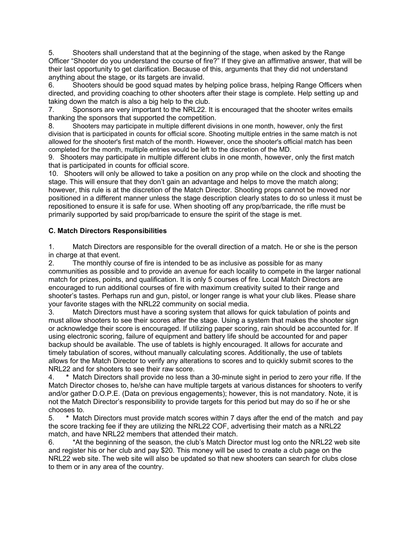5. Shooters shall understand that at the beginning of the stage, when asked by the Range Officer "Shooter do you understand the course of fire?" If they give an affirmative answer, that will be their last opportunity to get clarification. Because of this, arguments that they did not understand anything about the stage, or its targets are invalid.

6. Shooters should be good squad mates by helping police brass, helping Range Officers when directed, and providing coaching to other shooters after their stage is complete. Help setting up and taking down the match is also a big help to the club.

7. Sponsors are very important to the NRL22. It is encouraged that the shooter writes emails thanking the sponsors that supported the competition.

8. Shooters may participate in multiple different divisions in one month, however, only the first division that is participated in counts for official score. Shooting multiple entries in the same match is not allowed for the shooter's first match of the month. However, once the shooter's official match has been completed for the month, multiple entries would be left to the discretion of the MD.

9. Shooters may participate in multiple different clubs in one month, however, only the first match that is participated in counts for official score.

10. Shooters will only be allowed to take a position on any prop while on the clock and shooting the stage. This will ensure that they don't gain an advantage and helps to move the match along; however, this rule is at the discretion of the Match Director. Shooting props cannot be moved nor positioned in a different manner unless the stage description clearly states to do so unless it must be repositioned to ensure it is safe for use. When shooting off any prop/barricade, the rifle must be primarily supported by said prop/barricade to ensure the spirit of the stage is met.

### **C. Match Directors Responsibilities**

1. Match Directors are responsible for the overall direction of a match. He or she is the person in charge at that event.

2. The monthly course of fire is intended to be as inclusive as possible for as many communities as possible and to provide an avenue for each locality to compete in the larger national match for prizes, points, and qualification. It is only 5 courses of fire. Local Match Directors are encouraged to run additional courses of fire with maximum creativity suited to their range and shooter's tastes. Perhaps run and gun, pistol, or longer range is what your club likes. Please share your favorite stages with the NRL22 community on social media.

3. Match Directors must have a scoring system that allows for quick tabulation of points and must allow shooters to see their scores after the stage. Using a system that makes the shooter sign or acknowledge their score is encouraged. If utilizing paper scoring, rain should be accounted for. If using electronic scoring, failure of equipment and battery life should be accounted for and paper backup should be available. The use of tablets is highly encouraged. It allows for accurate and timely tabulation of scores, without manually calculating scores. Additionally, the use of tablets allows for the Match Director to verify any alterations to scores and to quickly submit scores to the NRL22 and for shooters to see their raw score.

4. **\*** Match Directors shall provide no less than a 30-minute sight in period to zero your rifle. If the Match Director choses to, he/she can have multiple targets at various distances for shooters to verify and/or gather D.O.P.E. (Data on previous engagements); however, this is not mandatory. Note, it is not the Match Director's responsibility to provide targets for this period but may do so if he or she chooses to.

5. **\*** Match Directors must provide match scores within 7 days after the end of the match and pay the score tracking fee if they are utilizing the NRL22 COF, advertising their match as a NRL22 match, and have NRL22 members that attended their match.

6. \*At the beginning of the season, the club's Match Director must log onto the NRL22 web site and register his or her club and pay \$20. This money will be used to create a club page on the NRL22 web site. The web site will also be updated so that new shooters can search for clubs close to them or in any area of the country.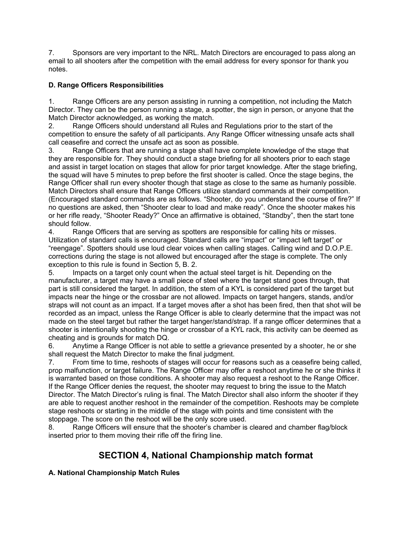7. Sponsors are very important to the NRL. Match Directors are encouraged to pass along an email to all shooters after the competition with the email address for every sponsor for thank you notes.

### **D. Range Officers Responsibilities**

1. Range Officers are any person assisting in running a competition, not including the Match Director. They can be the person running a stage, a spotter, the sign in person, or anyone that the Match Director acknowledged, as working the match.

2. Range Officers should understand all Rules and Regulations prior to the start of the competition to ensure the safety of all participants. Any Range Officer witnessing unsafe acts shall call ceasefire and correct the unsafe act as soon as possible.

3. Range Officers that are running a stage shall have complete knowledge of the stage that they are responsible for. They should conduct a stage briefing for all shooters prior to each stage and assist in target location on stages that allow for prior target knowledge. After the stage briefing, the squad will have 5 minutes to prep before the first shooter is called. Once the stage begins, the Range Officer shall run every shooter though that stage as close to the same as humanly possible. Match Directors shall ensure that Range Officers utilize standard commands at their competition. (Encouraged standard commands are as follows. "Shooter, do you understand the course of fire?" If no questions are asked, then "Shooter clear to load and make ready". Once the shooter makes his or her rifle ready, "Shooter Ready?" Once an affirmative is obtained, "Standby", then the start tone should follow.

4. Range Officers that are serving as spotters are responsible for calling hits or misses. Utilization of standard calls is encouraged. Standard calls are "impact" or "impact left target" or "reengage". Spotters should use loud clear voices when calling stages. Calling wind and D.O.P.E. corrections during the stage is not allowed but encouraged after the stage is complete. The only exception to this rule is found in Section 5, B. 2.

5. Impacts on a target only count when the actual steel target is hit. Depending on the manufacturer, a target may have a small piece of steel where the target stand goes through, that part is still considered the target. In addition, the stem of a KYL is considered part of the target but impacts near the hinge or the crossbar are not allowed. Impacts on target hangers, stands, and/or straps will not count as an impact. If a target moves after a shot has been fired, then that shot will be recorded as an impact, unless the Range Officer is able to clearly determine that the impact was not made on the steel target but rather the target hanger/stand/strap. If a range officer determines that a shooter is intentionally shooting the hinge or crossbar of a KYL rack, this activity can be deemed as cheating and is grounds for match DQ.

6. Anytime a Range Officer is not able to settle a grievance presented by a shooter, he or she shall request the Match Director to make the final judgment.

7. From time to time, reshoots of stages will occur for reasons such as a ceasefire being called, prop malfunction, or target failure. The Range Officer may offer a reshoot anytime he or she thinks it is warranted based on those conditions. A shooter may also request a reshoot to the Range Officer. If the Range Officer denies the request, the shooter may request to bring the issue to the Match Director. The Match Director's ruling is final. The Match Director shall also inform the shooter if they are able to request another reshoot in the remainder of the competition. Reshoots may be complete stage reshoots or starting in the middle of the stage with points and time consistent with the stoppage. The score on the reshoot will be the only score used.

8. Range Officers will ensure that the shooter's chamber is cleared and chamber flag/block inserted prior to them moving their rifle off the firing line.

# **SECTION 4, National Championship match format**

### **A. National Championship Match Rules**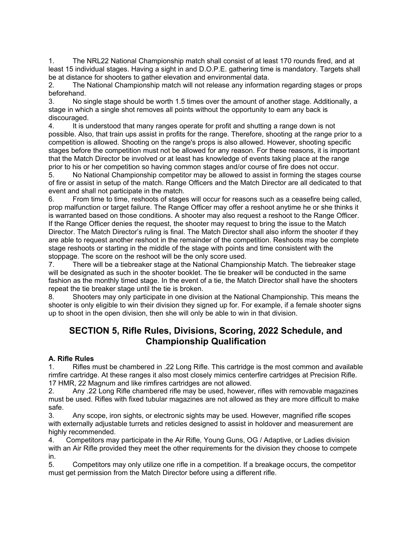1. The NRL22 National Championship match shall consist of at least 170 rounds fired, and at least 15 individual stages. Having a sight in and D.O.P.E. gathering time is mandatory. Targets shall be at distance for shooters to gather elevation and environmental data.

2. The National Championship match will not release any information regarding stages or props beforehand.

3. No single stage should be worth 1.5 times over the amount of another stage. Additionally, a stage in which a single shot removes all points without the opportunity to earn any back is discouraged.

4. It is understood that many ranges operate for profit and shutting a range down is not possible. Also, that train ups assist in profits for the range. Therefore, shooting at the range prior to a competition is allowed. Shooting on the range's props is also allowed. However, shooting specific stages before the competition must not be allowed for any reason. For these reasons, it is important that the Match Director be involved or at least has knowledge of events taking place at the range prior to his or her competition so having common stages and/or course of fire does not occur.

5. No National Championship competitor may be allowed to assist in forming the stages course of fire or assist in setup of the match. Range Officers and the Match Director are all dedicated to that event and shall not participate in the match.

6. From time to time, reshoots of stages will occur for reasons such as a ceasefire being called, prop malfunction or target failure. The Range Officer may offer a reshoot anytime he or she thinks it is warranted based on those conditions. A shooter may also request a reshoot to the Range Officer. If the Range Officer denies the request, the shooter may request to bring the issue to the Match Director. The Match Director's ruling is final. The Match Director shall also inform the shooter if they are able to request another reshoot in the remainder of the competition. Reshoots may be complete stage reshoots or starting in the middle of the stage with points and time consistent with the stoppage. The score on the reshoot will be the only score used.

7. There will be a tiebreaker stage at the National Championship Match. The tiebreaker stage will be designated as such in the shooter booklet. The tie breaker will be conducted in the same fashion as the monthly timed stage. In the event of a tie, the Match Director shall have the shooters repeat the tie breaker stage until the tie is broken.

8. Shooters may only participate in one division at the National Championship. This means the shooter is only eligible to win their division they signed up for. For example, if a female shooter signs up to shoot in the open division, then she will only be able to win in that division.

# **SECTION 5, Rifle Rules, Divisions, Scoring, 2022 Schedule, and Championship Qualification**

### **A. Rifle Rules**

1. Rifles must be chambered in .22 Long Rifle. This cartridge is the most common and available rimfire cartridge. At these ranges it also most closely mimics centerfire cartridges at Precision Rifle. 17 HMR, 22 Magnum and like rimfires cartridges are not allowed.

2. Any .22 Long Rifle chambered rifle may be used, however, rifles with removable magazines must be used. Rifles with fixed tubular magazines are not allowed as they are more difficult to make safe.

3. Any scope, iron sights, or electronic sights may be used. However, magnified rifle scopes with externally adjustable turrets and reticles designed to assist in holdover and measurement are highly recommended.

4. Competitors may participate in the Air Rifle, Young Guns, OG / Adaptive, or Ladies division with an Air Rifle provided they meet the other requirements for the division they choose to compete in.

5. Competitors may only utilize one rifle in a competition. If a breakage occurs, the competitor must get permission from the Match Director before using a different rifle.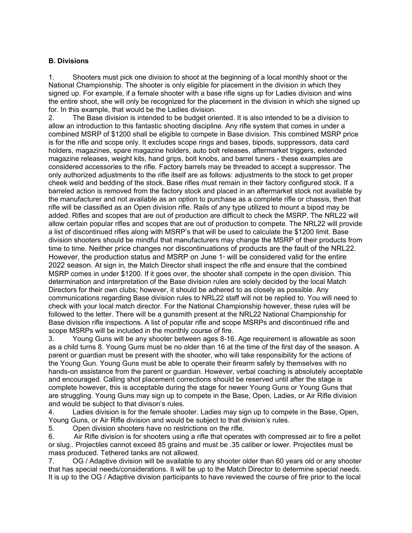#### **B. Divisions**

1. Shooters must pick one division to shoot at the beginning of a local monthly shoot or the National Championship. The shooter is only eligible for placement in the division in which they signed up. For example, if a female shooter with a base rifle signs up for Ladies division and wins the entire shoot, she will only be recognized for the placement in the division in which she signed up for. In this example, that would be the Ladies division.

2. The Base division is intended to be budget oriented. It is also intended to be a division to allow an introduction to this fantastic shooting discipline. Any rifle system that comes in under a combined MSRP of \$1200 shall be eligible to compete in Base division. This combined MSRP price is for the rifle and scope only. It excludes scope rings and bases, bipods, suppressors, data card holders, magazines, spare magazine holders, auto bolt releases, aftermarket triggers, extended magazine releases, weight kits, hand grips, bolt knobs, and barrel tuners - these examples are considered accessories to the rifle. Factory barrels may be threaded to accept a suppressor. The only authorized adjustments to the rifle itself are as follows: adjustments to the stock to get proper cheek weld and bedding of the stock. Base rifles must remain in their factory configured stock. If a barreled action is removed from the factory stock and placed in an aftermarket stock not available by the manufacturer and not available as an option to purchase as a complete rifle or chassis, then that rifle will be classified as an Open division rifle. Rails of any type utilized to mount a bipod may be added. Rifles and scopes that are out of production are difficult to check the MSRP. The NRL22 will allow certain popular rifles and scopes that are out of production to compete. The NRL22 will provide a list of discontinued rifles along with MSRP's that will be used to calculate the \$1200 limit. Base division shooters should be mindful that manufacturers may change the MSRP of their products from time to time. Neither price changes nor discontinuations of products are the fault of the NRL22. However, the production status and MSRP on June 1<sup>®</sup> will be considered valid for the entire 2022 season. At sign in, the Match Director shall inspect the rifle and ensure that the combined MSRP comes in under \$1200. If it goes over, the shooter shall compete in the open division. This determination and interpretation of the Base division rules are solely decided by the local Match Directors for their own clubs; however, it should be adhered to as closely as possible. Any communications regarding Base division rules to NRL22 staff will not be replied to. You will need to check with your local match director. For the National Championship however, these rules will be followed to the letter. There will be a gunsmith present at the NRL22 National Championship for Base division rifle inspections. A list of popular rifle and scope MSRPs and discontinued rifle and scope MSRPs will be included in the monthly course of fire.

3. Young Guns will be any shooter between ages 8-16. Age requirement is allowable as soon as a child turns 8. Young Guns must be no older than 16 at the time of the first day of the season. A parent or guardian must be present with the shooter, who will take responsibility for the actions of the Young Gun. Young Guns must be able to operate their firearm safely by themselves with no hands-on assistance from the parent or guardian. However, verbal coaching is absolutely acceptable and encouraged. Calling shot placement corrections should be reserved until after the stage is complete however, this is acceptable during the stage for newer Young Guns or Young Guns that are struggling. Young Guns may sign up to compete in the Base, Open, Ladies, or Air Rifle division and would be subject to that divison's rules.

4. Ladies division is for the female shooter. Ladies may sign up to compete in the Base, Open, Young Guns, or Air Rifle division and would be subject to that division's rules.

5. Open division shooters have no restrictions on the rifle.

6. Air Rifle division is for shooters using a rifle that operates with compressed air to fire a pellet or slug.. Projectiles cannot exceed 85 grains and must be .35 caliber or lower. Projectiles must be mass produced. Tethered tanks are not allowed.

7. OG / Adaptive division will be available to any shooter older than 60 years old or any shooter that has special needs/considerations. It will be up to the Match Director to determine special needs. It is up to the OG / Adaptive division participants to have reviewed the course of fire prior to the local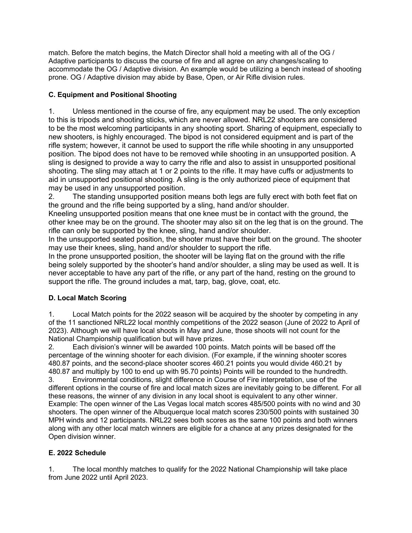match. Before the match begins, the Match Director shall hold a meeting with all of the OG / Adaptive participants to discuss the course of fire and all agree on any changes/scaling to accommodate the OG / Adaptive division. An example would be utilizing a bench instead of shooting prone. OG / Adaptive division may abide by Base, Open, or Air Rifle division rules.

### **C. Equipment and Positional Shooting**

1. Unless mentioned in the course of fire, any equipment may be used. The only exception to this is tripods and shooting sticks, which are never allowed. NRL22 shooters are considered to be the most welcoming participants in any shooting sport. Sharing of equipment, especially to new shooters, is highly encouraged. The bipod is not considered equipment and is part of the rifle system; however, it cannot be used to support the rifle while shooting in any unsupported position. The bipod does not have to be removed while shooting in an unsupported position. A sling is designed to provide a way to carry the rifle and also to assist in unsupported positional shooting. The sling may attach at 1 or 2 points to the rifle. It may have cuffs or adjustments to aid in unsupported positional shooting. A sling is the only authorized piece of equipment that may be used in any unsupported position.

2. The standing unsupported position means both legs are fully erect with both feet flat on the ground and the rifle being supported by a sling, hand and/or shoulder.

Kneeling unsupported position means that one knee must be in contact with the ground, the other knee may be on the ground. The shooter may also sit on the leg that is on the ground. The rifle can only be supported by the knee, sling, hand and/or shoulder.

In the unsupported seated position, the shooter must have their butt on the ground. The shooter may use their knees, sling, hand and/or shoulder to support the rifle.

In the prone unsupported position, the shooter will be laying flat on the ground with the rifle being solely supported by the shooter's hand and/or shoulder, a sling may be used as well. It is never acceptable to have any part of the rifle, or any part of the hand, resting on the ground to support the rifle. The ground includes a mat, tarp, bag, glove, coat, etc.

## **D. Local Match Scoring**

1. Local Match points for the 2022 season will be acquired by the shooter by competing in any of the 11 sanctioned NRL22 local monthly competitions of the 2022 season (June of 2022 to April of 2023). Although we will have local shoots in May and June, those shoots will not count for the National Championship qualification but will have prizes.

2. Each division's winner will be awarded 100 points. Match points will be based off the percentage of the winning shooter for each division. (For example, if the winning shooter scores 480.87 points, and the second-place shooter scores 460.21 points you would divide 460.21 by 480.87 and multiply by 100 to end up with 95.70 points) Points will be rounded to the hundredth.

3. Environmental conditions, slight difference in Course of Fire interpretation, use of the different options in the course of fire and local match sizes are inevitably going to be different. For all these reasons, the winner of any division in any local shoot is equivalent to any other winner. Example: The open winner of the Las Vegas local match scores 485/500 points with no wind and 30 shooters. The open winner of the Albuquerque local match scores 230/500 points with sustained 30 MPH winds and 12 participants. NRL22 sees both scores as the same 100 points and both winners along with any other local match winners are eligible for a chance at any prizes designated for the Open division winner.

### **E. 2022 Schedule**

1. The local monthly matches to qualify for the 2022 National Championship will take place from June 2022 until April 2023.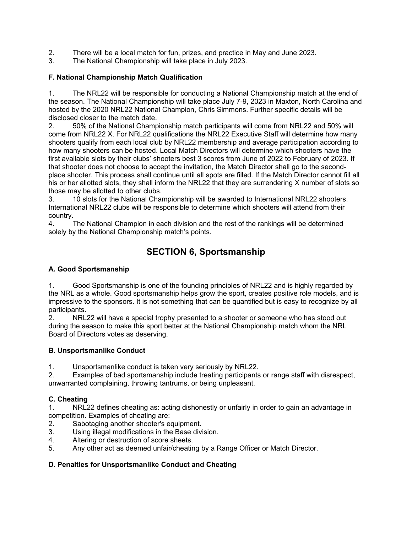- 2. There will be a local match for fun, prizes, and practice in May and June 2023.
- 3. The National Championship will take place in July 2023.

### **F. National Championship Match Qualification**

1. The NRL22 will be responsible for conducting a National Championship match at the end of the season. The National Championship will take place July 7-9, 2023 in Maxton, North Carolina and hosted by the 2020 NRL22 National Champion, Chris Simmons. Further specific details will be disclosed closer to the match date.

2. 50% of the National Championship match participants will come from NRL22 and 50% will come from NRL22 X. For NRL22 qualifications the NRL22 Executive Staff will determine how many shooters qualify from each local club by NRL22 membership and average participation according to how many shooters can be hosted. Local Match Directors will determine which shooters have the first available slots by their clubs' shooters best 3 scores from June of 2022 to February of 2023. If that shooter does not choose to accept the invitation, the Match Director shall go to the secondplace shooter. This process shall continue until all spots are filled. If the Match Director cannot fill all his or her allotted slots, they shall inform the NRL22 that they are surrendering X number of slots so those may be allotted to other clubs.

3. 10 slots for the National Championship will be awarded to International NRL22 shooters. International NRL22 clubs will be responsible to determine which shooters will attend from their country.

4. The National Champion in each division and the rest of the rankings will be determined solely by the National Championship match's points.

# **SECTION 6, Sportsmanship**

### **A. Good Sportsmanship**

1. Good Sportsmanship is one of the founding principles of NRL22 and is highly regarded by the NRL as a whole. Good sportsmanship helps grow the sport, creates positive role models, and is impressive to the sponsors. It is not something that can be quantified but is easy to recognize by all participants.

2. NRL22 will have a special trophy presented to a shooter or someone who has stood out during the season to make this sport better at the National Championship match whom the NRL Board of Directors votes as deserving.

### **B. Unsportsmanlike Conduct**

1. Unsportsmanlike conduct is taken very seriously by NRL22.

2. Examples of bad sportsmanship include treating participants or range staff with disrespect, unwarranted complaining, throwing tantrums, or being unpleasant.

## **C. Cheating**

1. NRL22 defines cheating as: acting dishonestly or unfairly in order to gain an advantage in competition. Examples of cheating are:

- 2. Sabotaging another shooter's equipment.
- 3. Using illegal modifications in the Base division.
- 4. Altering or destruction of score sheets.
- 5. Any other act as deemed unfair/cheating by a Range Officer or Match Director.

### **D. Penalties for Unsportsmanlike Conduct and Cheating**